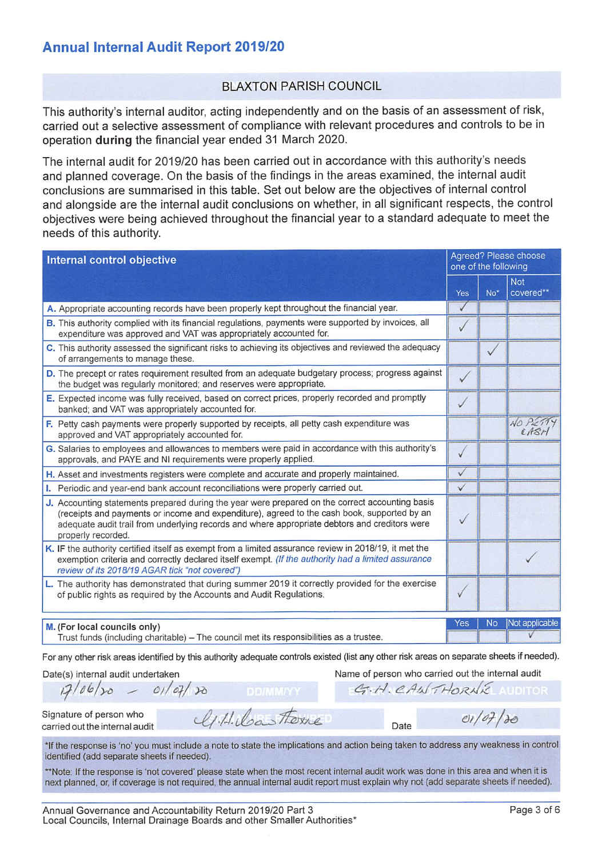# **Annual Internal Audit Report 2019/20**

## **BI AXTON PARISH COUNCIL**

This authority's internal auditor, acting independently and on the basis of an assessment of risk, carried out a selective assessment of compliance with relevant procedures and controls to be in operation during the financial year ended 31 March 2020.

The internal audit for 2019/20 has been carried out in accordance with this authority's needs and planned coverage. On the basis of the findings in the areas examined, the internal audit conclusions are summarised in this table. Set out below are the objectives of internal control and alongside are the internal audit conclusions on whether, in all significant respects, the control objectives were being achieved throughout the financial year to a standard adequate to meet the needs of this authority.

| Internal control objective                                                                                                                                                                                                                                                                                            | Agreed? Please choose<br>one of the following |           |                         |
|-----------------------------------------------------------------------------------------------------------------------------------------------------------------------------------------------------------------------------------------------------------------------------------------------------------------------|-----------------------------------------------|-----------|-------------------------|
|                                                                                                                                                                                                                                                                                                                       | Yes                                           | $No*$     | <b>Not</b><br>covered** |
| A. Appropriate accounting records have been properly kept throughout the financial year.                                                                                                                                                                                                                              |                                               |           |                         |
| B. This authority complied with its financial regulations, payments were supported by invoices, all<br>expenditure was approved and VAT was appropriately accounted for.                                                                                                                                              | $\sqrt{}$                                     |           |                         |
| C. This authority assessed the significant risks to achieving its objectives and reviewed the adequacy<br>of arrangements to manage these.                                                                                                                                                                            |                                               |           |                         |
| D. The precept or rates requirement resulted from an adequate budgetary process; progress against<br>the budget was regularly monitored; and reserves were appropriate.                                                                                                                                               | $\checkmark$                                  |           |                         |
| E. Expected income was fully received, based on correct prices, properly recorded and promptly<br>banked; and VAT was appropriately accounted for.                                                                                                                                                                    |                                               |           |                         |
| F. Petty cash payments were properly supported by receipts, all petty cash expenditure was<br>approved and VAT appropriately accounted for.                                                                                                                                                                           |                                               |           | NO Pie<br>CAS           |
| G. Salaries to employees and allowances to members were paid in accordance with this authority's<br>approvals, and PAYE and NI requirements were properly applied.                                                                                                                                                    | $\checkmark$                                  |           |                         |
| H. Asset and investments registers were complete and accurate and properly maintained.                                                                                                                                                                                                                                | ✓                                             |           |                         |
| I. Periodic and year-end bank account reconciliations were properly carried out.                                                                                                                                                                                                                                      | $\checkmark$                                  |           |                         |
| J. Accounting statements prepared during the year were prepared on the correct accounting basis<br>(receipts and payments or income and expenditure), agreed to the cash book, supported by an<br>adequate audit trail from underlying records and where appropriate debtors and creditors were<br>properly recorded. |                                               |           |                         |
| K. IF the authority certified itself as exempt from a limited assurance review in 2018/19, it met the<br>exemption criteria and correctly declared itself exempt. (If the authority had a limited assurance<br>review of its 2018/19 AGAR tick "not covered")                                                         |                                               |           |                         |
| L. The authority has demonstrated that during summer 2019 it correctly provided for the exercise<br>of public rights as required by the Accounts and Audit Regulations.                                                                                                                                               |                                               |           |                         |
| M. (For local councils only)                                                                                                                                                                                                                                                                                          | Yes                                           | <b>No</b> | Not applicable          |
| Trust funds (including charitable) – The council met its responsibilities as a trustee.                                                                                                                                                                                                                               |                                               |           |                         |

For any other risk areas identified by this authority adequate controls existed (list any other risk areas on separate sheets if needed).

Date(s) internal audit undertaken

Name of person who carried out the internal audit

Date

G.H. CANTHORNE AUDITOR

 $e1/07/30$ 

Signature of person who carried out the internal audit

 $17/06/30$ 

\*If the response is 'no' you must include a note to state the implications and action being taken to address any weakness in control identified (add separate sheets if needed).

U.H. Castone

\*\*Note: If the response is 'not covered' please state when the most recent internal audit work was done in this area and when it is next planned, or, if coverage is not required, the annual internal audit report must explain why not (add separate sheets if needed).

 $-01/07/10$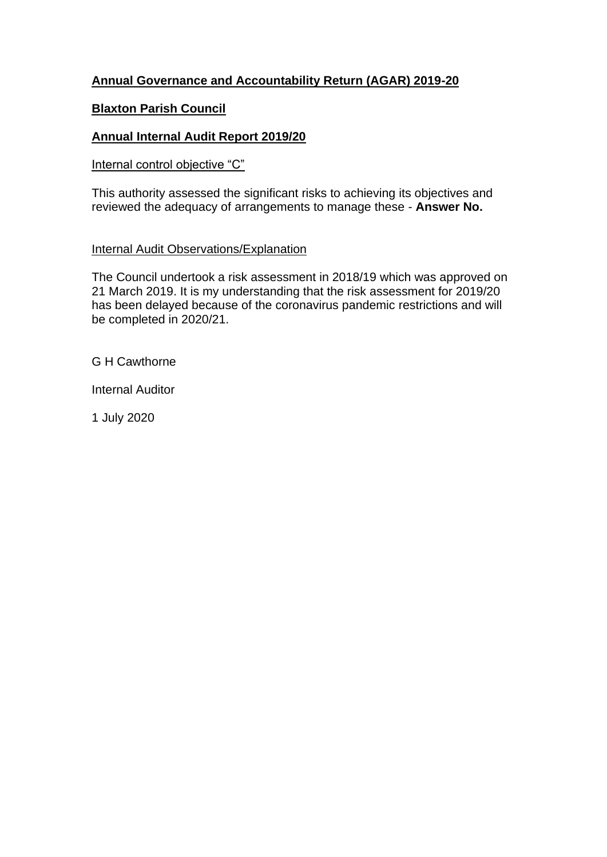## **Annual Governance and Accountability Return (AGAR) 2019-20**

#### **Blaxton Parish Council**

## **Annual Internal Audit Report 2019/20**

#### Internal control objective "C"

This authority assessed the significant risks to achieving its objectives and reviewed the adequacy of arrangements to manage these - **Answer No.**

#### Internal Audit Observations/Explanation

The Council undertook a risk assessment in 2018/19 which was approved on 21 March 2019. It is my understanding that the risk assessment for 2019/20 has been delayed because of the coronavirus pandemic restrictions and will be completed in 2020/21.

G H Cawthorne

Internal Auditor

1 July 2020